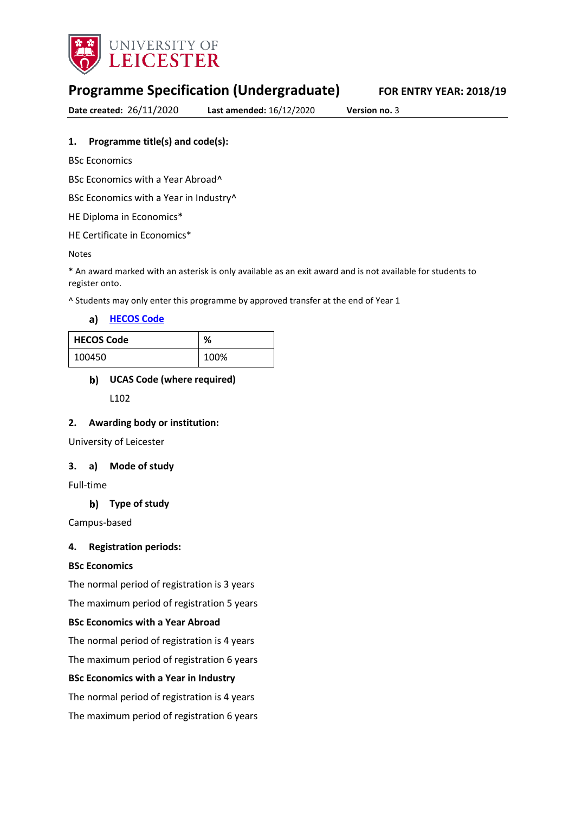

# **Programme Specification (Undergraduate) FOR ENTRY YEAR: 2018/19**

**Date created:** 26/11/2020 **Last amended:** 16/12/2020 **Version no.** 3

### **1. Programme title(s) and code(s):**

BSc Economics

BSc Economics with a Year Abroad^

BSc Economics with a Year in Industry<sup>^</sup>

HE Diploma in Economics\*

HE Certificate in Economics\*

Notes

\* An award marked with an asterisk is only available as an exit award and is not available for students to register onto.

^ Students may only enter this programme by approved transfer at the end of Year 1

**[HECOS Code](https://www.hesa.ac.uk/innovation/hecos)**

| <b>HECOS Code</b> | ℅    |
|-------------------|------|
| 100450            | 100% |

## **UCAS Code (where required)**

L102

#### **2. Awarding body or institution:**

University of Leicester

#### **3. a) Mode of study**

Full-time

### **Type of study**

Campus-based

#### **4. Registration periods:**

#### **BSc Economics**

The normal period of registration is 3 years

The maximum period of registration 5 years

### **BSc Economics with a Year Abroad**

The normal period of registration is 4 years

The maximum period of registration 6 years

#### **BSc Economics with a Year in Industry**

The normal period of registration is 4 years

The maximum period of registration 6 years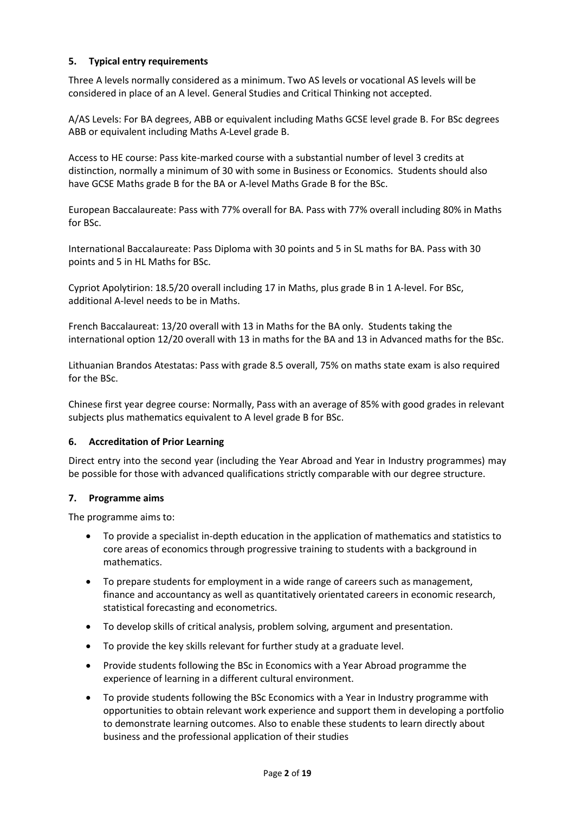### **5. Typical entry requirements**

Three A levels normally considered as a minimum. Two AS levels or vocational AS levels will be considered in place of an A level. General Studies and Critical Thinking not accepted.

A/AS Levels: For BA degrees, ABB or equivalent including Maths GCSE level grade B. For BSc degrees ABB or equivalent including Maths A-Level grade B.

Access to HE course: Pass kite-marked course with a substantial number of level 3 credits at distinction, normally a minimum of 30 with some in Business or Economics. Students should also have GCSE Maths grade B for the BA or A-level Maths Grade B for the BSc.

European Baccalaureate: Pass with 77% overall for BA. Pass with 77% overall including 80% in Maths for BSc.

International Baccalaureate: Pass Diploma with 30 points and 5 in SL maths for BA. Pass with 30 points and 5 in HL Maths for BSc.

Cypriot Apolytirion: 18.5/20 overall including 17 in Maths, plus grade B in 1 A-level. For BSc, additional A-level needs to be in Maths.

French Baccalaureat: 13/20 overall with 13 in Maths for the BA only. Students taking the international option 12/20 overall with 13 in maths for the BA and 13 in Advanced maths for the BSc.

Lithuanian Brandos Atestatas: Pass with grade 8.5 overall, 75% on maths state exam is also required for the BSc.

Chinese first year degree course: Normally, Pass with an average of 85% with good grades in relevant subjects plus mathematics equivalent to A level grade B for BSc.

#### **6. Accreditation of Prior Learning**

Direct entry into the second year (including the Year Abroad and Year in Industry programmes) may be possible for those with advanced qualifications strictly comparable with our degree structure.

#### **7. Programme aims**

The programme aims to:

- To provide a specialist in-depth education in the application of mathematics and statistics to core areas of economics through progressive training to students with a background in mathematics.
- To prepare students for employment in a wide range of careers such as management, finance and accountancy as well as quantitatively orientated careers in economic research, statistical forecasting and econometrics.
- To develop skills of critical analysis, problem solving, argument and presentation.
- To provide the key skills relevant for further study at a graduate level.
- Provide students following the BSc in Economics with a Year Abroad programme the experience of learning in a different cultural environment.
- To provide students following the BSc Economics with a Year in Industry programme with opportunities to obtain relevant work experience and support them in developing a portfolio to demonstrate learning outcomes. Also to enable these students to learn directly about business and the professional application of their studies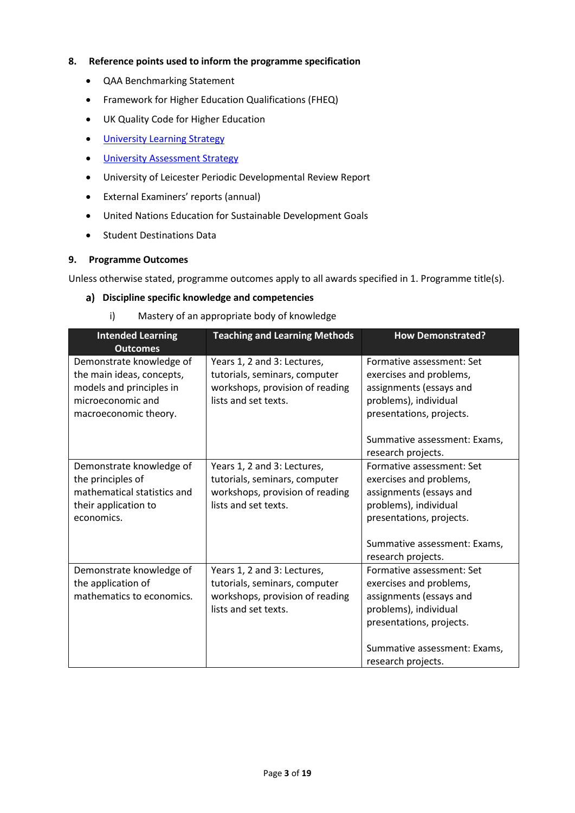### **8. Reference points used to inform the programme specification**

- QAA Benchmarking Statement
- Framework for Higher Education Qualifications (FHEQ)
- UK Quality Code for Higher Education
- **•** University Learnin[g Strategy](https://www2.le.ac.uk/offices/sas2/quality/learnteach)
- **.** [University Assessment Strategy](https://www2.le.ac.uk/offices/sas2/quality/learnteach)
- University of Leicester Periodic Developmental Review Report
- External Examiners' reports (annual)
- United Nations Education for Sustainable Development Goals
- Student Destinations Data

#### **9. Programme Outcomes**

Unless otherwise stated, programme outcomes apply to all awards specified in 1. Programme title(s).

#### **Discipline specific knowledge and competencies**

i) Mastery of an appropriate body of knowledge

| <b>Intended Learning</b><br><b>Outcomes</b>                                                                                     | <b>Teaching and Learning Methods</b>                                                                                    | <b>How Demonstrated?</b>                                                                                                                                                                                         |
|---------------------------------------------------------------------------------------------------------------------------------|-------------------------------------------------------------------------------------------------------------------------|------------------------------------------------------------------------------------------------------------------------------------------------------------------------------------------------------------------|
| Demonstrate knowledge of<br>the main ideas, concepts,<br>models and principles in<br>microeconomic and<br>macroeconomic theory. | Years 1, 2 and 3: Lectures,<br>tutorials, seminars, computer<br>workshops, provision of reading<br>lists and set texts. | Formative assessment: Set<br>exercises and problems,<br>assignments (essays and<br>problems), individual<br>presentations, projects.<br>Summative assessment: Exams,                                             |
| Demonstrate knowledge of<br>the principles of<br>mathematical statistics and<br>their application to<br>economics.              | Years 1, 2 and 3: Lectures,<br>tutorials, seminars, computer<br>workshops, provision of reading<br>lists and set texts. | research projects.<br>Formative assessment: Set<br>exercises and problems,<br>assignments (essays and<br>problems), individual<br>presentations, projects.<br>Summative assessment: Exams,<br>research projects. |
| Demonstrate knowledge of<br>the application of<br>mathematics to economics.                                                     | Years 1, 2 and 3: Lectures,<br>tutorials, seminars, computer<br>workshops, provision of reading<br>lists and set texts. | Formative assessment: Set<br>exercises and problems,<br>assignments (essays and<br>problems), individual<br>presentations, projects.<br>Summative assessment: Exams,<br>research projects.                       |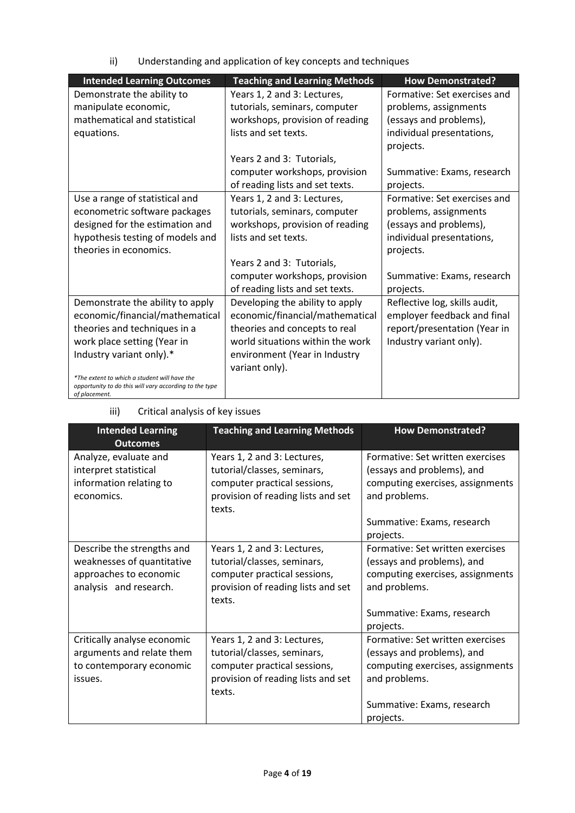ii) Understanding and application of key concepts and techniques

| <b>Intended Learning Outcomes</b>                                                                      | <b>Teaching and Learning Methods</b> | <b>How Demonstrated?</b>      |
|--------------------------------------------------------------------------------------------------------|--------------------------------------|-------------------------------|
| Demonstrate the ability to                                                                             | Years 1, 2 and 3: Lectures,          | Formative: Set exercises and  |
| manipulate economic,                                                                                   | tutorials, seminars, computer        | problems, assignments         |
| mathematical and statistical                                                                           | workshops, provision of reading      | (essays and problems),        |
| equations.                                                                                             | lists and set texts.                 | individual presentations,     |
|                                                                                                        |                                      | projects.                     |
|                                                                                                        | Years 2 and 3: Tutorials,            |                               |
|                                                                                                        | computer workshops, provision        | Summative: Exams, research    |
|                                                                                                        | of reading lists and set texts.      | projects.                     |
| Use a range of statistical and                                                                         | Years 1, 2 and 3: Lectures,          | Formative: Set exercises and  |
| econometric software packages                                                                          | tutorials, seminars, computer        | problems, assignments         |
| designed for the estimation and                                                                        | workshops, provision of reading      | (essays and problems),        |
| hypothesis testing of models and                                                                       | lists and set texts.                 | individual presentations,     |
| theories in economics.                                                                                 |                                      | projects.                     |
|                                                                                                        | Years 2 and 3: Tutorials,            |                               |
|                                                                                                        | computer workshops, provision        | Summative: Exams, research    |
|                                                                                                        | of reading lists and set texts.      | projects.                     |
| Demonstrate the ability to apply                                                                       | Developing the ability to apply      | Reflective log, skills audit, |
| economic/financial/mathematical                                                                        | economic/financial/mathematical      | employer feedback and final   |
| theories and techniques in a                                                                           | theories and concepts to real        | report/presentation (Year in  |
| work place setting (Year in                                                                            | world situations within the work     | Industry variant only).       |
| Industry variant only).*                                                                               | environment (Year in Industry        |                               |
|                                                                                                        | variant only).                       |                               |
| *The extent to which a student will have the<br>opportunity to do this will vary according to the type |                                      |                               |
| of placement.                                                                                          |                                      |                               |

## iii) Critical analysis of key issues

| <b>Intended Learning</b><br><b>Outcomes</b>                                                                  | <b>Teaching and Learning Methods</b>                                                                                                       | <b>How Demonstrated?</b>                                                                                                                                       |
|--------------------------------------------------------------------------------------------------------------|--------------------------------------------------------------------------------------------------------------------------------------------|----------------------------------------------------------------------------------------------------------------------------------------------------------------|
| Analyze, evaluate and<br>interpret statistical<br>information relating to<br>economics.                      | Years 1, 2 and 3: Lectures,<br>tutorial/classes, seminars,<br>computer practical sessions,<br>provision of reading lists and set<br>texts. | Formative: Set written exercises<br>(essays and problems), and<br>computing exercises, assignments<br>and problems.<br>Summative: Exams, research<br>projects. |
| Describe the strengths and<br>weaknesses of quantitative<br>approaches to economic<br>analysis and research. | Years 1, 2 and 3: Lectures,<br>tutorial/classes, seminars,<br>computer practical sessions,<br>provision of reading lists and set<br>texts. | Formative: Set written exercises<br>(essays and problems), and<br>computing exercises, assignments<br>and problems.<br>Summative: Exams, research<br>projects. |
| Critically analyse economic<br>arguments and relate them<br>to contemporary economic<br>issues.              | Years 1, 2 and 3: Lectures,<br>tutorial/classes, seminars,<br>computer practical sessions,<br>provision of reading lists and set<br>texts. | Formative: Set written exercises<br>(essays and problems), and<br>computing exercises, assignments<br>and problems.<br>Summative: Exams, research<br>projects. |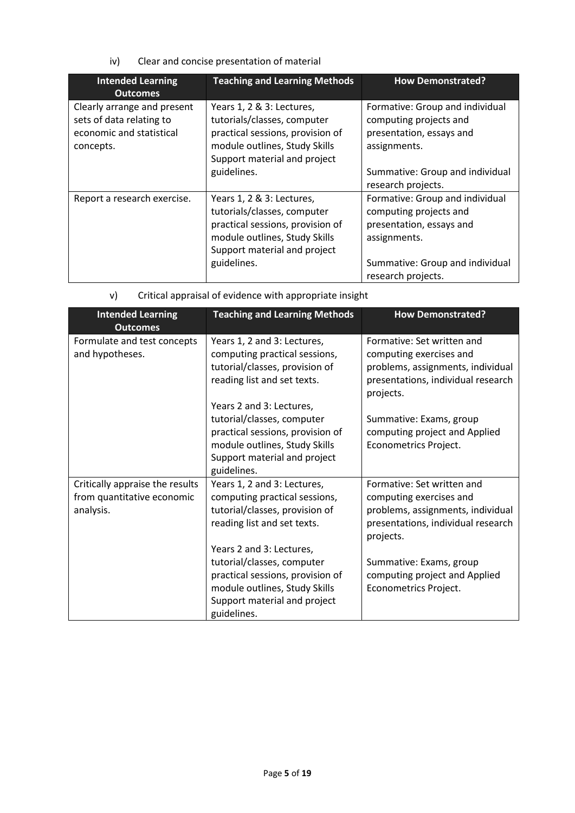iv) Clear and concise presentation of material

| <b>Intended Learning</b><br><b>Outcomes</b>                                                      | <b>Teaching and Learning Methods</b>                                                                                                                                         | <b>How Demonstrated?</b>                                                                                                                                       |
|--------------------------------------------------------------------------------------------------|------------------------------------------------------------------------------------------------------------------------------------------------------------------------------|----------------------------------------------------------------------------------------------------------------------------------------------------------------|
| Clearly arrange and present<br>sets of data relating to<br>economic and statistical<br>concepts. | Years 1, 2 & 3: Lectures,<br>tutorials/classes, computer<br>practical sessions, provision of<br>module outlines, Study Skills<br>Support material and project                | Formative: Group and individual<br>computing projects and<br>presentation, essays and<br>assignments.                                                          |
|                                                                                                  | guidelines.                                                                                                                                                                  | Summative: Group and individual<br>research projects.                                                                                                          |
| Report a research exercise.                                                                      | Years 1, 2 & 3: Lectures,<br>tutorials/classes, computer<br>practical sessions, provision of<br>module outlines, Study Skills<br>Support material and project<br>guidelines. | Formative: Group and individual<br>computing projects and<br>presentation, essays and<br>assignments.<br>Summative: Group and individual<br>research projects. |

| v) | Critical appraisal of evidence with appropriate insight |  |
|----|---------------------------------------------------------|--|
|    |                                                         |  |

| <b>Intended Learning</b><br><b>Outcomes</b>                                | <b>Teaching and Learning Methods</b>                                                                                                                                       | <b>How Demonstrated?</b>                                                                                                                      |
|----------------------------------------------------------------------------|----------------------------------------------------------------------------------------------------------------------------------------------------------------------------|-----------------------------------------------------------------------------------------------------------------------------------------------|
| Formulate and test concepts<br>and hypotheses.                             | Years 1, 2 and 3: Lectures,<br>computing practical sessions,<br>tutorial/classes, provision of<br>reading list and set texts.                                              | Formative: Set written and<br>computing exercises and<br>problems, assignments, individual<br>presentations, individual research<br>projects. |
|                                                                            | Years 2 and 3: Lectures,<br>tutorial/classes, computer<br>practical sessions, provision of<br>module outlines, Study Skills<br>Support material and project<br>guidelines. | Summative: Exams, group<br>computing project and Applied<br>Econometrics Project.                                                             |
| Critically appraise the results<br>from quantitative economic<br>analysis. | Years 1, 2 and 3: Lectures,<br>computing practical sessions,<br>tutorial/classes, provision of<br>reading list and set texts.<br>Years 2 and 3: Lectures,                  | Formative: Set written and<br>computing exercises and<br>problems, assignments, individual<br>presentations, individual research<br>projects. |
|                                                                            | tutorial/classes, computer<br>practical sessions, provision of<br>module outlines, Study Skills<br>Support material and project<br>guidelines.                             | Summative: Exams, group<br>computing project and Applied<br>Econometrics Project.                                                             |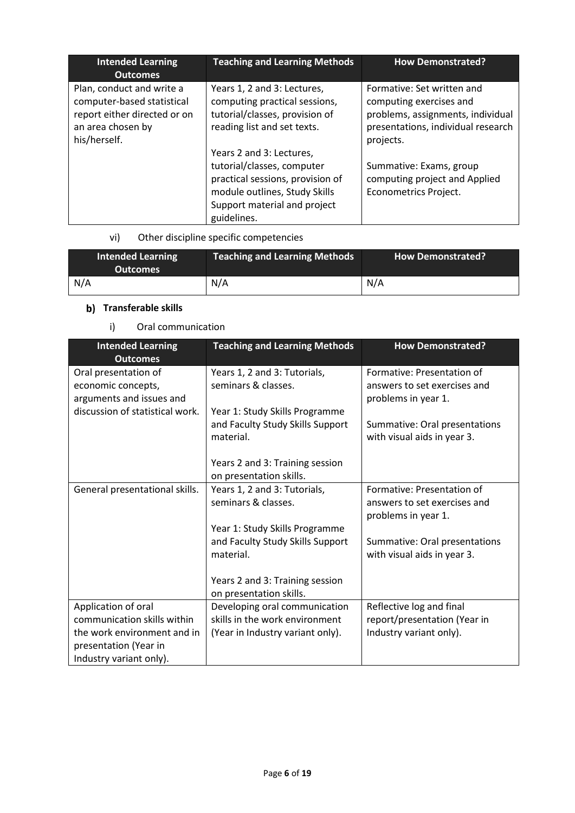| <b>Intended Learning</b><br><b>Outcomes</b>                                                                                  | <b>Teaching and Learning Methods</b>                                                                                                                                       | <b>How Demonstrated?</b>                                                                                                                      |
|------------------------------------------------------------------------------------------------------------------------------|----------------------------------------------------------------------------------------------------------------------------------------------------------------------------|-----------------------------------------------------------------------------------------------------------------------------------------------|
| Plan, conduct and write a<br>computer-based statistical<br>report either directed or on<br>an area chosen by<br>his/herself. | Years 1, 2 and 3: Lectures,<br>computing practical sessions,<br>tutorial/classes, provision of<br>reading list and set texts.                                              | Formative: Set written and<br>computing exercises and<br>problems, assignments, individual<br>presentations, individual research<br>projects. |
|                                                                                                                              | Years 2 and 3: Lectures,<br>tutorial/classes, computer<br>practical sessions, provision of<br>module outlines, Study Skills<br>Support material and project<br>guidelines. | Summative: Exams, group<br>computing project and Applied<br><b>Econometrics Project.</b>                                                      |

## vi) Other discipline specific competencies

| <b>Intended Learning</b><br><b>Outcomes</b> | <b>Teaching and Learning Methods</b> | <b>How Demonstrated?</b> |
|---------------------------------------------|--------------------------------------|--------------------------|
| N/A                                         | N/A                                  | N/A                      |

## **b)** Transferable skills

### i) Oral communication

| <b>Intended Learning</b><br><b>Outcomes</b> | <b>Teaching and Learning Methods</b> | <b>How Demonstrated?</b>      |
|---------------------------------------------|--------------------------------------|-------------------------------|
| Oral presentation of                        | Years 1, 2 and 3: Tutorials,         | Formative: Presentation of    |
| economic concepts,                          | seminars & classes.                  | answers to set exercises and  |
| arguments and issues and                    |                                      | problems in year 1.           |
| discussion of statistical work.             | Year 1: Study Skills Programme       |                               |
|                                             | and Faculty Study Skills Support     | Summative: Oral presentations |
|                                             | material.                            | with visual aids in year 3.   |
|                                             |                                      |                               |
|                                             | Years 2 and 3: Training session      |                               |
|                                             | on presentation skills.              |                               |
| General presentational skills.              | Years 1, 2 and 3: Tutorials,         | Formative: Presentation of    |
|                                             | seminars & classes.                  | answers to set exercises and  |
|                                             |                                      | problems in year 1.           |
|                                             | Year 1: Study Skills Programme       |                               |
|                                             | and Faculty Study Skills Support     | Summative: Oral presentations |
|                                             | material.                            | with visual aids in year 3.   |
|                                             |                                      |                               |
|                                             | Years 2 and 3: Training session      |                               |
|                                             | on presentation skills.              |                               |
| Application of oral                         | Developing oral communication        | Reflective log and final      |
| communication skills within                 | skills in the work environment       | report/presentation (Year in  |
| the work environment and in                 | (Year in Industry variant only).     | Industry variant only).       |
| presentation (Year in                       |                                      |                               |
| Industry variant only).                     |                                      |                               |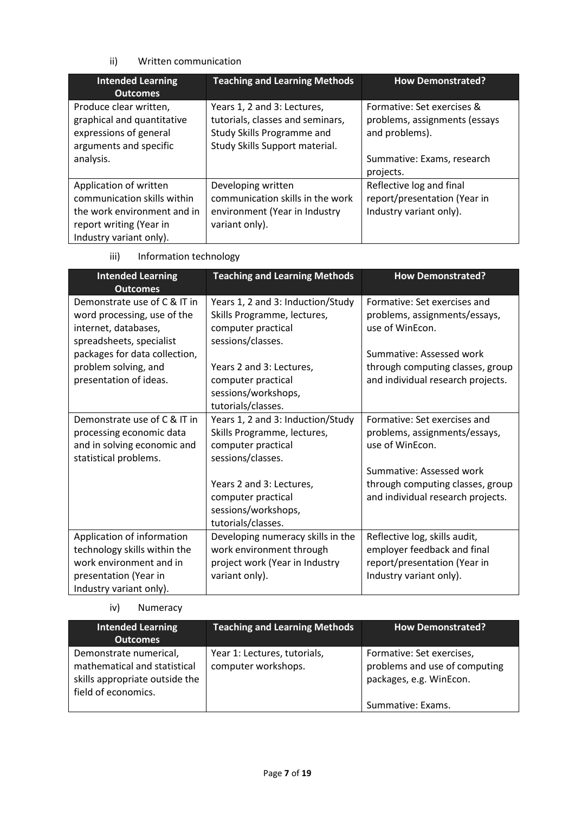### ii) Written communication

| <b>Intended Learning</b><br><b>Outcomes</b>                                                                                                | <b>Teaching and Learning Methods</b>                                                                                            | <b>How Demonstrated?</b>                                                            |
|--------------------------------------------------------------------------------------------------------------------------------------------|---------------------------------------------------------------------------------------------------------------------------------|-------------------------------------------------------------------------------------|
| Produce clear written,<br>graphical and quantitative<br>expressions of general<br>arguments and specific                                   | Years 1, 2 and 3: Lectures,<br>tutorials, classes and seminars,<br>Study Skills Programme and<br>Study Skills Support material. | Formative: Set exercises &<br>problems, assignments (essays<br>and problems).       |
| analysis.                                                                                                                                  |                                                                                                                                 | Summative: Exams, research<br>projects.                                             |
| Application of written<br>communication skills within<br>the work environment and in<br>report writing (Year in<br>Industry variant only). | Developing written<br>communication skills in the work<br>environment (Year in Industry<br>variant only).                       | Reflective log and final<br>report/presentation (Year in<br>Industry variant only). |

iii) Information technology

| <b>Intended Learning</b><br><b>Outcomes</b>                 | <b>Teaching and Learning Methods</b>                             | <b>How Demonstrated?</b>                                      |
|-------------------------------------------------------------|------------------------------------------------------------------|---------------------------------------------------------------|
| Demonstrate use of C & IT in<br>word processing, use of the | Years 1, 2 and 3: Induction/Study<br>Skills Programme, lectures, | Formative: Set exercises and<br>problems, assignments/essays, |
| internet, databases,<br>spreadsheets, specialist            | computer practical<br>sessions/classes.                          | use of WinEcon.                                               |
| packages for data collection,                               |                                                                  | Summative: Assessed work                                      |
| problem solving, and                                        | Years 2 and 3: Lectures,                                         | through computing classes, group                              |
| presentation of ideas.                                      | computer practical                                               | and individual research projects.                             |
|                                                             | sessions/workshops,                                              |                                                               |
|                                                             | tutorials/classes.                                               |                                                               |
| Demonstrate use of C & IT in                                | Years 1, 2 and 3: Induction/Study                                | Formative: Set exercises and                                  |
| processing economic data                                    | Skills Programme, lectures,                                      | problems, assignments/essays,                                 |
| and in solving economic and                                 | computer practical                                               | use of WinEcon.                                               |
| statistical problems.                                       | sessions/classes.                                                | Summative: Assessed work                                      |
|                                                             |                                                                  |                                                               |
|                                                             | Years 2 and 3: Lectures,                                         | through computing classes, group                              |
|                                                             | computer practical<br>sessions/workshops,                        | and individual research projects.                             |
|                                                             | tutorials/classes.                                               |                                                               |
| Application of information                                  | Developing numeracy skills in the                                | Reflective log, skills audit,                                 |
| technology skills within the                                | work environment through                                         | employer feedback and final                                   |
| work environment and in                                     | project work (Year in Industry                                   | report/presentation (Year in                                  |
| presentation (Year in                                       | variant only).                                                   | Industry variant only).                                       |
| Industry variant only).                                     |                                                                  |                                                               |

### iv) Numeracy

| <b>Intended Learning</b><br><b>Outcomes</b>                                                                     | <b>Teaching and Learning Methods</b>                | <b>How Demonstrated?</b>                                                                                   |
|-----------------------------------------------------------------------------------------------------------------|-----------------------------------------------------|------------------------------------------------------------------------------------------------------------|
| Demonstrate numerical,<br>mathematical and statistical<br>skills appropriate outside the<br>field of economics. | Year 1: Lectures, tutorials,<br>computer workshops. | Formative: Set exercises,<br>problems and use of computing<br>packages, e.g. WinEcon.<br>Summative: Exams. |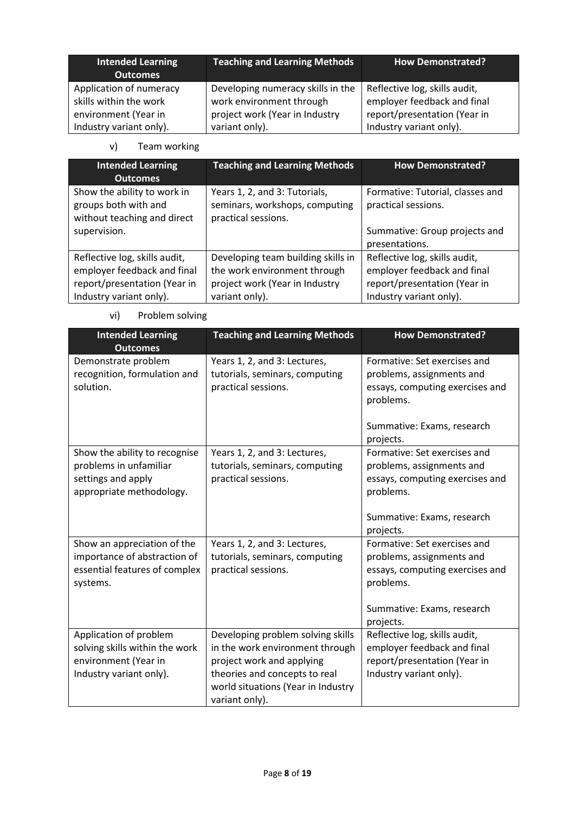| Intended Learning<br><b>Outcomes</b>                                      | <b>Teaching and Learning Methods</b>                                                            | <b>How Demonstrated?</b>                                                                     |
|---------------------------------------------------------------------------|-------------------------------------------------------------------------------------------------|----------------------------------------------------------------------------------------------|
| Application of numeracy<br>skills within the work<br>environment (Year in | Developing numeracy skills in the<br>work environment through<br>project work (Year in Industry | Reflective log, skills audit,<br>employer feedback and final<br>report/presentation (Year in |
| Industry variant only).                                                   | variant only).                                                                                  | Industry variant only).                                                                      |

v) Team working

| <b>Intended Learning</b><br><b>Outcomes</b>                                                                             | <b>Teaching and Learning Methods</b>                                                                                   | <b>How Demonstrated?</b>                                                                                                |  |
|-------------------------------------------------------------------------------------------------------------------------|------------------------------------------------------------------------------------------------------------------------|-------------------------------------------------------------------------------------------------------------------------|--|
| Show the ability to work in<br>groups both with and<br>without teaching and direct                                      | Years 1, 2, and 3: Tutorials,<br>seminars, workshops, computing<br>practical sessions.                                 | Formative: Tutorial, classes and<br>practical sessions.                                                                 |  |
| supervision.                                                                                                            |                                                                                                                        | Summative: Group projects and<br>presentations.                                                                         |  |
| Reflective log, skills audit,<br>employer feedback and final<br>report/presentation (Year in<br>Industry variant only). | Developing team building skills in<br>the work environment through<br>project work (Year in Industry<br>variant only). | Reflective log, skills audit,<br>employer feedback and final<br>report/presentation (Year in<br>Industry variant only). |  |

vi) Problem solving

| <b>Intended Learning</b><br><b>Outcomes</b>                                                                 | <b>Teaching and Learning Methods</b>                                                                                                                                                       | <b>How Demonstrated?</b>                                                                                                                             |  |
|-------------------------------------------------------------------------------------------------------------|--------------------------------------------------------------------------------------------------------------------------------------------------------------------------------------------|------------------------------------------------------------------------------------------------------------------------------------------------------|--|
| Demonstrate problem<br>recognition, formulation and<br>solution.                                            | Years 1, 2, and 3: Lectures,<br>tutorials, seminars, computing<br>practical sessions.                                                                                                      | Formative: Set exercises and<br>problems, assignments and<br>essays, computing exercises and<br>problems.<br>Summative: Exams, research<br>projects. |  |
| Show the ability to recognise<br>problems in unfamiliar<br>settings and apply<br>appropriate methodology.   | Years 1, 2, and 3: Lectures,<br>tutorials, seminars, computing<br>practical sessions.                                                                                                      | Formative: Set exercises and<br>problems, assignments and<br>essays, computing exercises and<br>problems.<br>Summative: Exams, research<br>projects. |  |
| Show an appreciation of the<br>importance of abstraction of<br>essential features of complex<br>systems.    | Years 1, 2, and 3: Lectures,<br>tutorials, seminars, computing<br>practical sessions.                                                                                                      | Formative: Set exercises and<br>problems, assignments and<br>essays, computing exercises and<br>problems.<br>Summative: Exams, research<br>projects. |  |
| Application of problem<br>solving skills within the work<br>environment (Year in<br>Industry variant only). | Developing problem solving skills<br>in the work environment through<br>project work and applying<br>theories and concepts to real<br>world situations (Year in Industry<br>variant only). | Reflective log, skills audit,<br>employer feedback and final<br>report/presentation (Year in<br>Industry variant only).                              |  |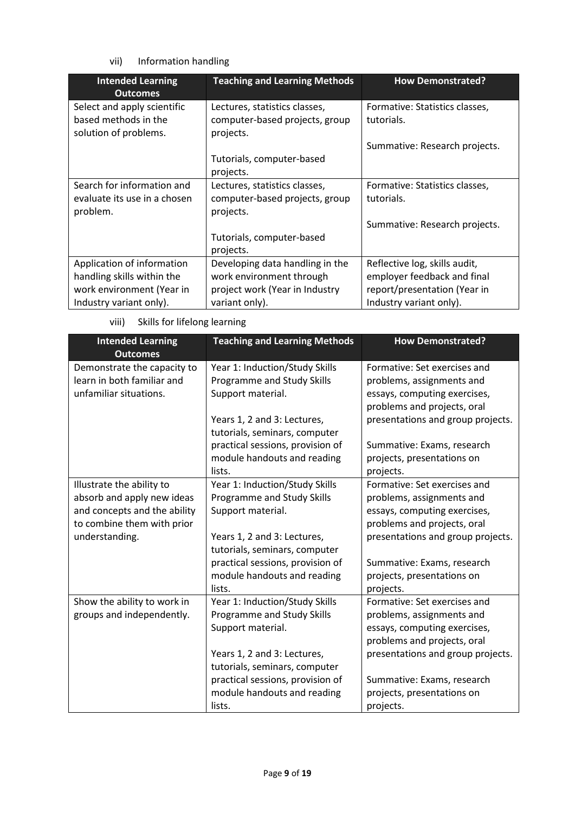### vii) Information handling

| <b>Intended Learning</b><br><b>Outcomes</b>   | <b>Teaching and Learning Methods</b>        | <b>How Demonstrated?</b>       |
|-----------------------------------------------|---------------------------------------------|--------------------------------|
| Select and apply scientific                   | Lectures, statistics classes,               | Formative: Statistics classes, |
| based methods in the<br>solution of problems. | computer-based projects, group<br>projects. | tutorials.                     |
|                                               |                                             | Summative: Research projects.  |
|                                               | Tutorials, computer-based                   |                                |
|                                               | projects.                                   |                                |
| Search for information and                    | Lectures, statistics classes,               | Formative: Statistics classes, |
| evaluate its use in a chosen                  | computer-based projects, group              | tutorials.                     |
| problem.                                      | projects.                                   |                                |
|                                               |                                             | Summative: Research projects.  |
|                                               | Tutorials, computer-based                   |                                |
|                                               | projects.                                   |                                |
| Application of information                    | Developing data handling in the             | Reflective log, skills audit,  |
| handling skills within the                    | work environment through                    | employer feedback and final    |
| work environment (Year in                     | project work (Year in Industry              | report/presentation (Year in   |
| Industry variant only).                       | variant only).                              | Industry variant only).        |

| viii)<br>Skills for lifelong learning |
|---------------------------------------|
|---------------------------------------|

| <b>Intended Learning</b><br><b>Outcomes</b> | <b>Teaching and Learning Methods</b> | <b>How Demonstrated?</b>          |
|---------------------------------------------|--------------------------------------|-----------------------------------|
| Demonstrate the capacity to                 | Year 1: Induction/Study Skills       | Formative: Set exercises and      |
| learn in both familiar and                  | Programme and Study Skills           | problems, assignments and         |
| unfamiliar situations.                      | Support material.                    | essays, computing exercises,      |
|                                             |                                      | problems and projects, oral       |
|                                             | Years 1, 2 and 3: Lectures,          | presentations and group projects. |
|                                             | tutorials, seminars, computer        |                                   |
|                                             | practical sessions, provision of     | Summative: Exams, research        |
|                                             | module handouts and reading          | projects, presentations on        |
|                                             | lists.                               | projects.                         |
| Illustrate the ability to                   | Year 1: Induction/Study Skills       | Formative: Set exercises and      |
| absorb and apply new ideas                  | Programme and Study Skills           | problems, assignments and         |
| and concepts and the ability                | Support material.                    | essays, computing exercises,      |
| to combine them with prior                  |                                      | problems and projects, oral       |
| understanding.                              | Years 1, 2 and 3: Lectures,          | presentations and group projects. |
|                                             | tutorials, seminars, computer        |                                   |
|                                             | practical sessions, provision of     | Summative: Exams, research        |
|                                             | module handouts and reading          | projects, presentations on        |
|                                             | lists.                               | projects.                         |
| Show the ability to work in                 | Year 1: Induction/Study Skills       | Formative: Set exercises and      |
| groups and independently.                   | Programme and Study Skills           | problems, assignments and         |
|                                             | Support material.                    | essays, computing exercises,      |
|                                             |                                      | problems and projects, oral       |
|                                             | Years 1, 2 and 3: Lectures,          | presentations and group projects. |
|                                             | tutorials, seminars, computer        |                                   |
|                                             | practical sessions, provision of     | Summative: Exams, research        |
|                                             | module handouts and reading          | projects, presentations on        |
|                                             | lists.                               | projects.                         |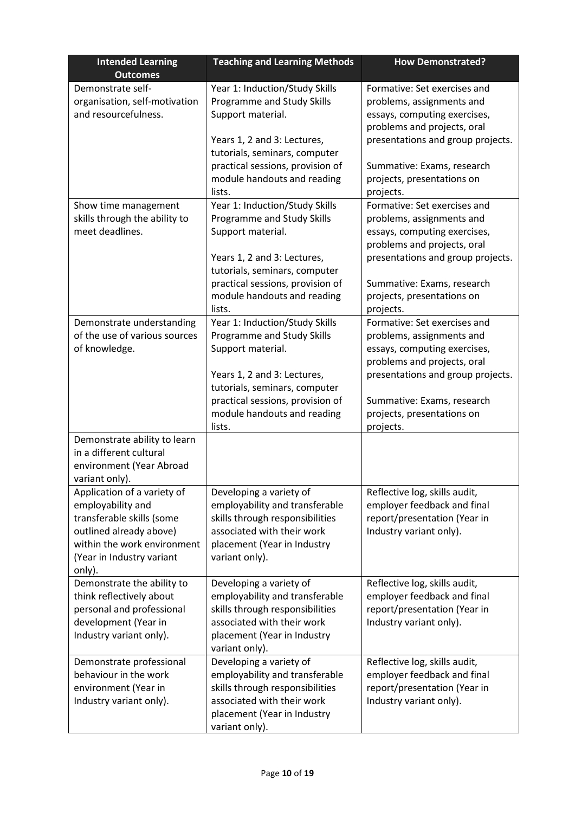| <b>Intended Learning</b><br><b>Outcomes</b>             | <b>Teaching and Learning Methods</b>                         | <b>How Demonstrated?</b>                                  |  |
|---------------------------------------------------------|--------------------------------------------------------------|-----------------------------------------------------------|--|
| Demonstrate self-                                       | Year 1: Induction/Study Skills                               | Formative: Set exercises and                              |  |
| organisation, self-motivation                           | Programme and Study Skills                                   | problems, assignments and                                 |  |
| and resourcefulness.                                    | Support material.                                            | essays, computing exercises,                              |  |
|                                                         |                                                              | problems and projects, oral                               |  |
|                                                         | Years 1, 2 and 3: Lectures,                                  | presentations and group projects.                         |  |
|                                                         | tutorials, seminars, computer                                |                                                           |  |
|                                                         | practical sessions, provision of                             | Summative: Exams, research                                |  |
|                                                         | module handouts and reading                                  | projects, presentations on                                |  |
|                                                         | lists.                                                       | projects.                                                 |  |
| Show time management<br>skills through the ability to   | Year 1: Induction/Study Skills<br>Programme and Study Skills | Formative: Set exercises and                              |  |
| meet deadlines.                                         | Support material.                                            | problems, assignments and<br>essays, computing exercises, |  |
|                                                         |                                                              | problems and projects, oral                               |  |
|                                                         | Years 1, 2 and 3: Lectures,                                  | presentations and group projects.                         |  |
|                                                         | tutorials, seminars, computer                                |                                                           |  |
|                                                         | practical sessions, provision of                             | Summative: Exams, research                                |  |
|                                                         | module handouts and reading                                  | projects, presentations on                                |  |
|                                                         | lists.                                                       | projects.                                                 |  |
| Demonstrate understanding                               | Year 1: Induction/Study Skills                               | Formative: Set exercises and                              |  |
| of the use of various sources                           | Programme and Study Skills                                   | problems, assignments and                                 |  |
| of knowledge.                                           | Support material.                                            | essays, computing exercises,                              |  |
|                                                         |                                                              | problems and projects, oral                               |  |
|                                                         | Years 1, 2 and 3: Lectures,                                  | presentations and group projects.                         |  |
|                                                         | tutorials, seminars, computer                                |                                                           |  |
|                                                         | practical sessions, provision of                             | Summative: Exams, research                                |  |
|                                                         | module handouts and reading                                  | projects, presentations on                                |  |
|                                                         | lists.                                                       | projects.                                                 |  |
| Demonstrate ability to learn<br>in a different cultural |                                                              |                                                           |  |
| environment (Year Abroad                                |                                                              |                                                           |  |
| variant only).                                          |                                                              |                                                           |  |
| Application of a variety of                             | Developing a variety of                                      | Reflective log, skills audit,                             |  |
| employability and                                       | employability and transferable                               | employer feedback and final                               |  |
| transferable skills (some                               | skills through responsibilities                              | report/presentation (Year in                              |  |
| outlined already above)                                 | associated with their work                                   | Industry variant only).                                   |  |
| within the work environment                             | placement (Year in Industry                                  |                                                           |  |
| (Year in Industry variant                               | variant only).                                               |                                                           |  |
| only).                                                  |                                                              |                                                           |  |
| Demonstrate the ability to                              | Developing a variety of                                      | Reflective log, skills audit,                             |  |
| think reflectively about                                | employability and transferable                               | employer feedback and final                               |  |
| personal and professional                               | skills through responsibilities                              | report/presentation (Year in                              |  |
| development (Year in                                    | associated with their work                                   | Industry variant only).                                   |  |
| Industry variant only).                                 | placement (Year in Industry                                  |                                                           |  |
|                                                         | variant only).                                               |                                                           |  |
| Demonstrate professional                                | Developing a variety of                                      | Reflective log, skills audit,                             |  |
| behaviour in the work                                   | employability and transferable                               | employer feedback and final                               |  |
| environment (Year in                                    | skills through responsibilities                              | report/presentation (Year in                              |  |
| Industry variant only).                                 | associated with their work<br>placement (Year in Industry    | Industry variant only).                                   |  |
|                                                         | variant only).                                               |                                                           |  |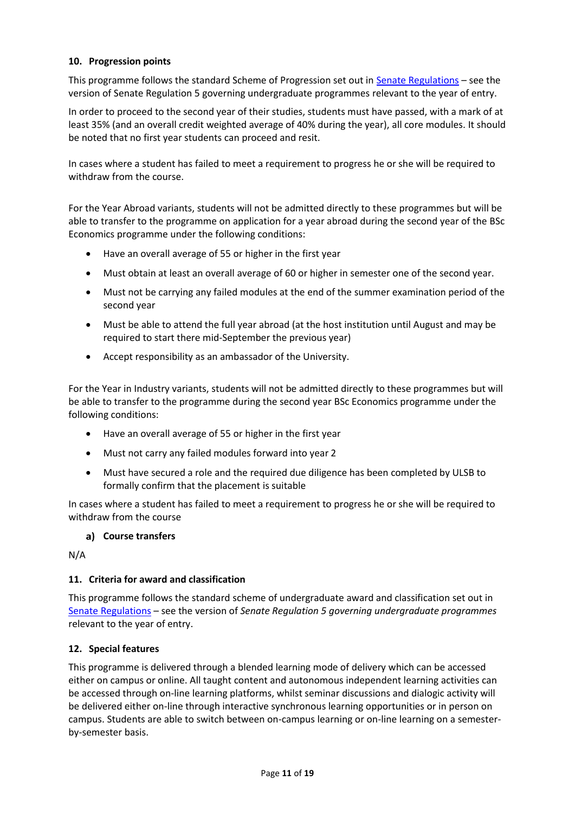### **10. Progression points**

This programme follows the standard Scheme of Progression set out i[n Senate Regulations](http://www.le.ac.uk/senate-regulations) – see the version of Senate Regulation 5 governing undergraduate programmes relevant to the year of entry.

In order to proceed to the second year of their studies, students must have passed, with a mark of at least 35% (and an overall credit weighted average of 40% during the year), all core modules. It should be noted that no first year students can proceed and resit.

In cases where a student has failed to meet a requirement to progress he or she will be required to withdraw from the course.

For the Year Abroad variants, students will not be admitted directly to these programmes but will be able to transfer to the programme on application for a year abroad during the second year of the BSc Economics programme under the following conditions:

- Have an overall average of 55 or higher in the first year
- Must obtain at least an overall average of 60 or higher in semester one of the second year.
- Must not be carrying any failed modules at the end of the summer examination period of the second year
- Must be able to attend the full year abroad (at the host institution until August and may be required to start there mid-September the previous year)
- Accept responsibility as an ambassador of the University.

For the Year in Industry variants, students will not be admitted directly to these programmes but will be able to transfer to the programme during the second year BSc Economics programme under the following conditions:

- Have an overall average of 55 or higher in the first year
- Must not carry any failed modules forward into year 2
- Must have secured a role and the required due diligence has been completed by ULSB to formally confirm that the placement is suitable

In cases where a student has failed to meet a requirement to progress he or she will be required to withdraw from the course

#### **Course transfers**

N/A

#### **11. Criteria for award and classification**

This programme follows the standard scheme of undergraduate award and classification set out in [Senate Regulations](http://www.le.ac.uk/senate-regulations) – see the version of *Senate Regulation 5 governing undergraduate programmes* relevant to the year of entry.

#### **12. Special features**

This programme is delivered through a blended learning mode of delivery which can be accessed either on campus or online. All taught content and autonomous independent learning activities can be accessed through on-line learning platforms, whilst seminar discussions and dialogic activity will be delivered either on-line through interactive synchronous learning opportunities or in person on campus. Students are able to switch between on-campus learning or on-line learning on a semesterby-semester basis.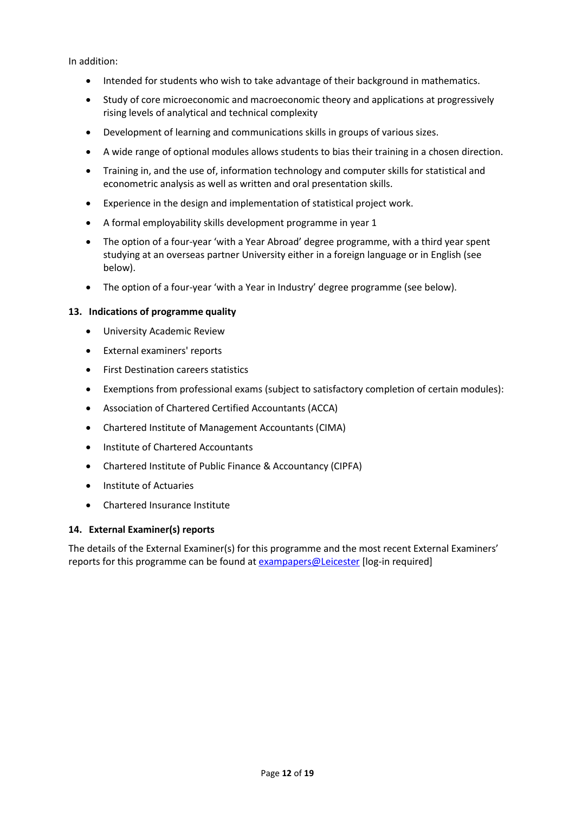In addition:

- Intended for students who wish to take advantage of their background in mathematics.
- Study of core microeconomic and macroeconomic theory and applications at progressively rising levels of analytical and technical complexity
- Development of learning and communications skills in groups of various sizes.
- A wide range of optional modules allows students to bias their training in a chosen direction.
- Training in, and the use of, information technology and computer skills for statistical and econometric analysis as well as written and oral presentation skills.
- Experience in the design and implementation of statistical project work.
- A formal employability skills development programme in year 1
- The option of a four-year 'with a Year Abroad' degree programme, with a third year spent studying at an overseas partner University either in a foreign language or in English (see below).
- The option of a four-year 'with a Year in Industry' degree programme (see below).

#### **13. Indications of programme quality**

- University Academic Review
- External examiners' reports
- **•** First Destination careers statistics
- Exemptions from professional exams (subject to satisfactory completion of certain modules):
- Association of Chartered Certified Accountants (ACCA)
- Chartered Institute of Management Accountants (CIMA)
- Institute of Chartered Accountants
- Chartered Institute of Public Finance & Accountancy (CIPFA)
- **•** Institute of Actuaries
- Chartered Insurance Institute

#### **14. External Examiner(s) reports**

The details of the External Examiner(s) for this programme and the most recent External Examiners' reports for this programme can be found at [exampapers@Leicester](https://exampapers.le.ac.uk/) [log-in required]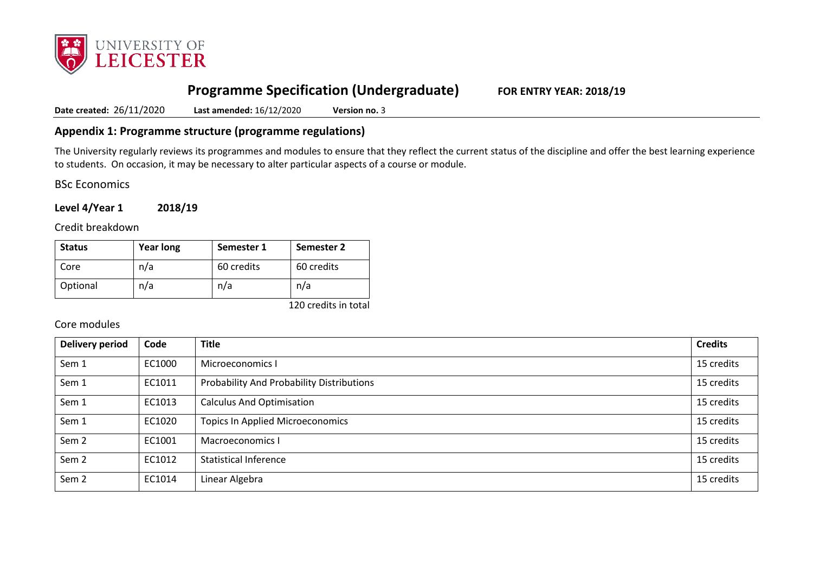

# **Programme Specification (Undergraduate) FOR ENTRY YEAR: 2018/19**

**Date created:** 26/11/2020 **Last amended:** 16/12/2020 **Version no.** 3

### **Appendix 1: Programme structure (programme regulations)**

The University regularly reviews its programmes and modules to ensure that they reflect the current status of the discipline and offer the best learning experience to students. On occasion, it may be necessary to alter particular aspects of a course or module.

BSc Economics

**Level 4/Year 1 2018/19**

Credit breakdown

| <b>Status</b> | <b>Year long</b> | Semester 1 | Semester 2 |
|---------------|------------------|------------|------------|
| Core          | n/a              | 60 credits | 60 credits |
| Optional      | n/a              | n/a        | n/a        |

120 credits in total

## Core modules

| <b>Delivery period</b> | Code   | <b>Title</b>                              | <b>Credits</b> |
|------------------------|--------|-------------------------------------------|----------------|
| Sem 1                  | EC1000 | Microeconomics I                          | 15 credits     |
| Sem 1                  | EC1011 | Probability And Probability Distributions | 15 credits     |
| Sem 1                  | EC1013 | <b>Calculus And Optimisation</b>          | 15 credits     |
| Sem 1                  | EC1020 | <b>Topics In Applied Microeconomics</b>   | 15 credits     |
| Sem <sub>2</sub>       | EC1001 | Macroeconomics I                          | 15 credits     |
| Sem <sub>2</sub>       | EC1012 | <b>Statistical Inference</b>              | 15 credits     |
| Sem <sub>2</sub>       | EC1014 | Linear Algebra                            | 15 credits     |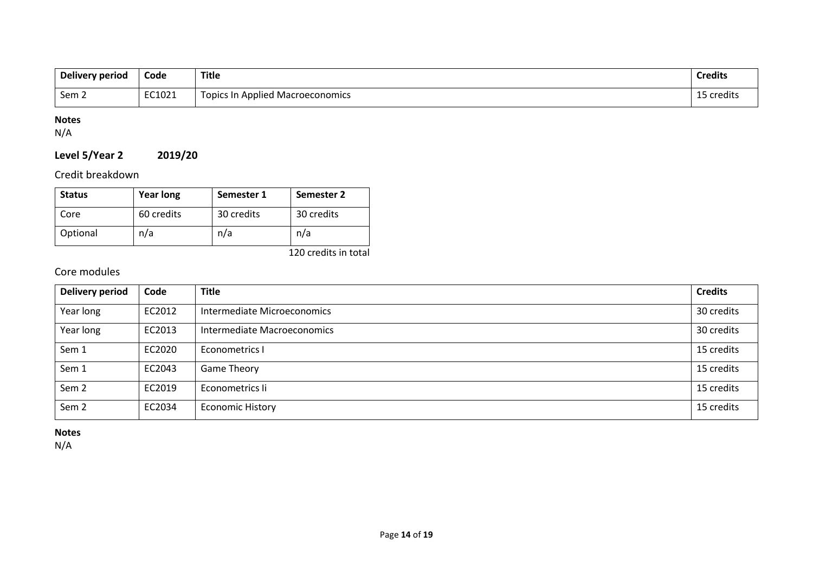| Delivery period | Code   | <b>Title</b>                            | <b>Credits</b> |
|-----------------|--------|-----------------------------------------|----------------|
| Sem ∠           | EC1021 | <b>Topics In Applied Macroeconomics</b> | 15 credits     |

## **Notes**

N/A

## **Level 5/Year 2 2019/20**

Credit breakdown

| <b>Status</b> | <b>Year long</b> | Semester 1 | Semester 2 |
|---------------|------------------|------------|------------|
| Core          | 60 credits       | 30 credits | 30 credits |
| Optional      | n/a              | n/a        | n/a        |

120 credits in total

## Core modules

| Delivery period  | Code   | <b>Title</b>                | <b>Credits</b> |
|------------------|--------|-----------------------------|----------------|
| Year long        | EC2012 | Intermediate Microeconomics | 30 credits     |
| Year long        | EC2013 | Intermediate Macroeconomics | 30 credits     |
| Sem 1            | EC2020 | Econometrics I              | 15 credits     |
| Sem 1            | EC2043 | <b>Game Theory</b>          | 15 credits     |
| Sem <sub>2</sub> | EC2019 | Econometrics li             | 15 credits     |
| Sem <sub>2</sub> | EC2034 | <b>Economic History</b>     | 15 credits     |

**Notes**

N/A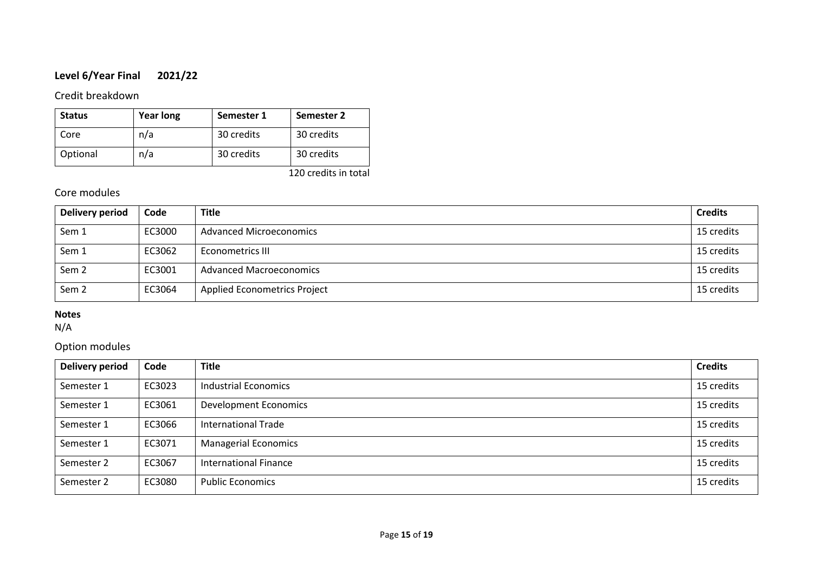## **Level 6/Year Final 2021/22**

### Credit breakdown

| <b>Status</b> | <b>Year long</b> | Semester 1 | Semester 2 |
|---------------|------------------|------------|------------|
| Core          | n/a              | 30 credits | 30 credits |
| Optional      | n/a              | 30 credits | 30 credits |

120 credits in total

## Core modules

| Delivery period  | Code   | <b>Title</b>                        | <b>Credits</b> |
|------------------|--------|-------------------------------------|----------------|
| Sem 1            | EC3000 | <b>Advanced Microeconomics</b>      | 15 credits     |
| Sem 1            | EC3062 | Econometrics III                    | 15 credits     |
| Sem <sub>2</sub> | EC3001 | <b>Advanced Macroeconomics</b>      | 15 credits     |
| Sem <sub>2</sub> | EC3064 | <b>Applied Econometrics Project</b> | 15 credits     |

## **Notes**

N/A

## Option modules

| <b>Delivery period</b> | Code   | <b>Title</b>                 | <b>Credits</b> |
|------------------------|--------|------------------------------|----------------|
| Semester 1             | EC3023 | <b>Industrial Economics</b>  | 15 credits     |
| Semester 1             | EC3061 | <b>Development Economics</b> | 15 credits     |
| Semester 1             | EC3066 | <b>International Trade</b>   | 15 credits     |
| Semester 1             | EC3071 | <b>Managerial Economics</b>  | 15 credits     |
| Semester 2             | EC3067 | <b>International Finance</b> | 15 credits     |
| Semester 2             | EC3080 | <b>Public Economics</b>      | 15 credits     |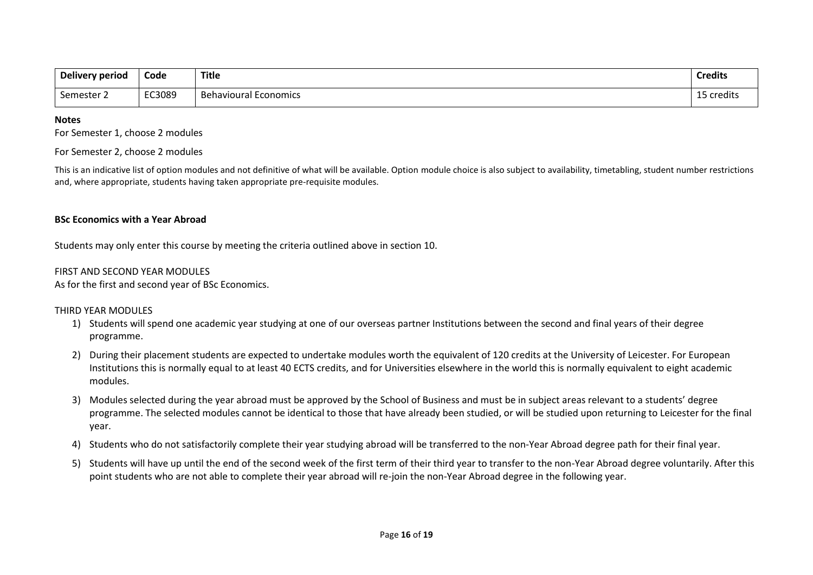| Delivery period | Code   | <b>Title</b>                 | <b>Credits</b>      |
|-----------------|--------|------------------------------|---------------------|
| Semester 2      | EC3089 | <b>Behavioural Economics</b> | .<br>5 credits<br>∸ |

#### **Notes**

For Semester 1, choose 2 modules

#### For Semester 2, choose 2 modules

This is an indicative list of option modules and not definitive of what will be available. Option module choice is also subject to availability, timetabling, student number restrictions and, where appropriate, students having taken appropriate pre-requisite modules.

#### **BSc Economics with a Year Abroad**

Students may only enter this course by meeting the criteria outlined above in section 10.

#### FIRST AND SECOND YEAR MODULES

As for the first and second year of BSc Economics.

#### THIRD YEAR MODULES

- 1) Students will spend one academic year studying at one of our overseas partner Institutions between the second and final years of their degree programme.
- 2) During their placement students are expected to undertake modules worth the equivalent of 120 credits at the University of Leicester. For European Institutions this is normally equal to at least 40 ECTS credits, and for Universities elsewhere in the world this is normally equivalent to eight academic modules.
- 3) Modules selected during the year abroad must be approved by the School of Business and must be in subject areas relevant to a students' degree programme. The selected modules cannot be identical to those that have already been studied, or will be studied upon returning to Leicester for the final year.
- 4) Students who do not satisfactorily complete their year studying abroad will be transferred to the non-Year Abroad degree path for their final year.
- 5) Students will have up until the end of the second week of the first term of their third year to transfer to the non-Year Abroad degree voluntarily. After this point students who are not able to complete their year abroad will re-join the non-Year Abroad degree in the following year.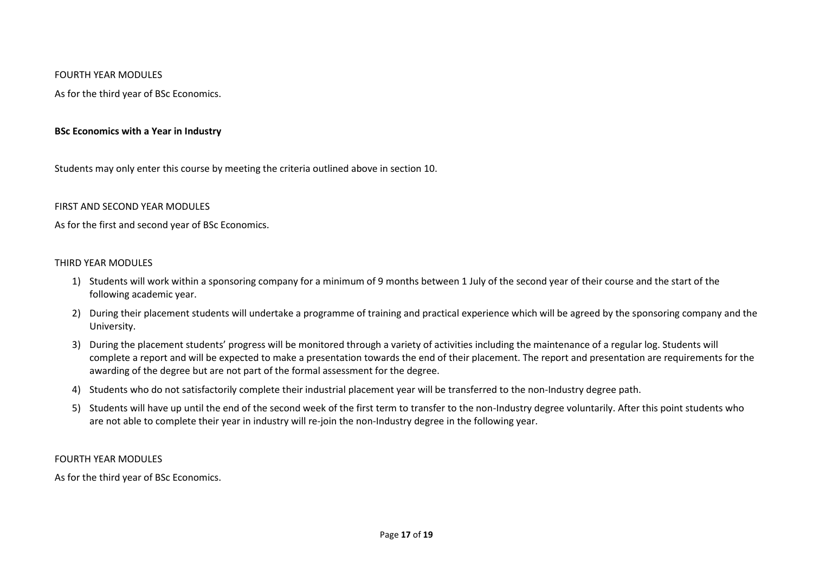#### FOURTH YEAR MODULES

As for the third year of BSc Economics.

#### **BSc Economics with a Year in Industry**

Students may only enter this course by meeting the criteria outlined above in section 10.

#### FIRST AND SECOND YEAR MODULES

As for the first and second year of BSc Economics.

#### THIRD YEAR MODULES

- 1) Students will work within a sponsoring company for a minimum of 9 months between 1 July of the second year of their course and the start of the following academic year.
- 2) During their placement students will undertake a programme of training and practical experience which will be agreed by the sponsoring company and the University.
- 3) During the placement students' progress will be monitored through a variety of activities including the maintenance of a regular log. Students will complete a report and will be expected to make a presentation towards the end of their placement. The report and presentation are requirements for the awarding of the degree but are not part of the formal assessment for the degree.
- 4) Students who do not satisfactorily complete their industrial placement year will be transferred to the non-Industry degree path.
- 5) Students will have up until the end of the second week of the first term to transfer to the non-Industry degree voluntarily. After this point students who are not able to complete their year in industry will re-join the non-Industry degree in the following year.

#### FOURTH YEAR MODULES

As for the third year of BSc Economics.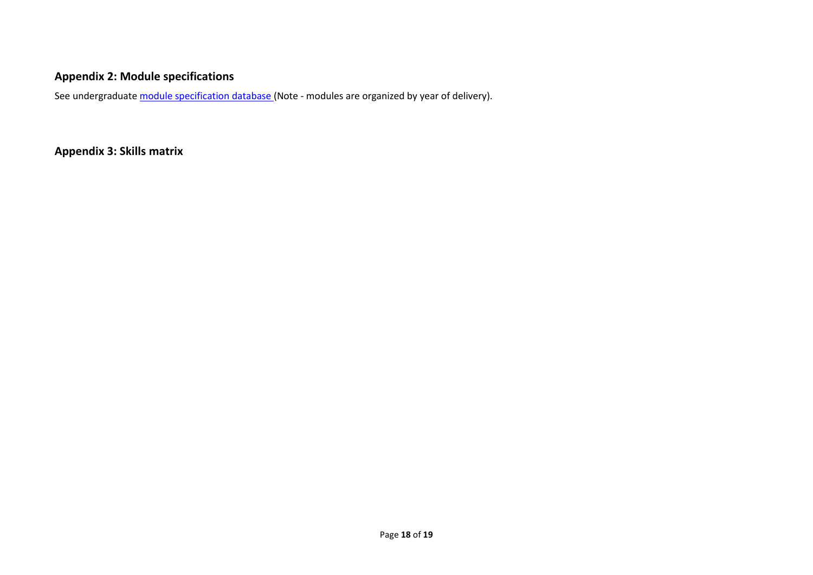# **Appendix 2: Module specifications**

See undergraduat[e module specification database](http://www.le.ac.uk/sas/courses/documentation) (Note - modules are organized by year of delivery).

**Appendix 3: Skills matrix**